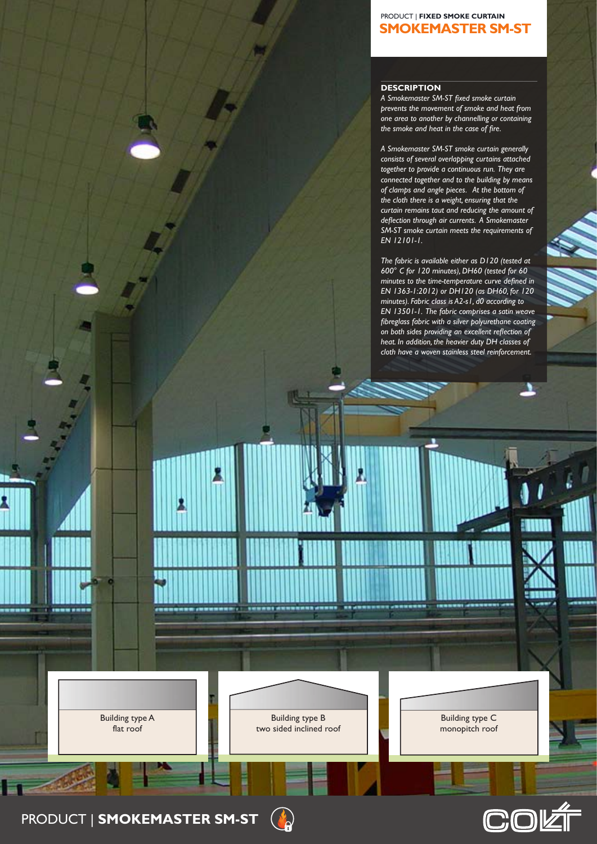## **Smokemaster SM-ST** ProduCT | **Fixed Smoke Curtain**

## **DESCRIPTION**

*A Smokemaster SM-ST fixed smoke curtain prevents the movement of smoke and heat from one area to another by channelling or containing the smoke and heat in the case of fire.*

*A Smokemaster SM-ST smoke curtain generally consists of several overlapping curtains attached together to provide a continuous run. They are connected together and to the building by means of clamps and angle pieces. At the bottom of the cloth there is a weight, ensuring that the curtain remains taut and reducing the amount of deflection through air currents. A Smokemaster SM-ST smoke curtain meets the requirements of EN 12101-1.* 

*The fabric is available either as D120 (tested at 600° C for 120 minutes), DH60 (tested for 60 minutes to the time-temperature curve defined in EN 1363-1:2012) or DH120 (as DH60, for 120 minutes). Fabric class is A2-s1, d0 according to EN 13501-1. The fabric comprises a satin weave fibreglass fabric with a silver polyurethane coating on both sides providing an excellent reflection of heat. In addition, the heavier duty DH classes of cloth have a woven stainless steel reinforcement.*

1

Building type A flat roof

**The** 

Building type B two sided inclined roof

> Building type B two sided inclined roof

> > $\bigcap$  $\mathsf{R}'$

Building type C monopitch roof

COK

Building type A flat roof

Building type Building to the Building of the Building of the Building of the Building term in the Building of two sided inclined roof

**360°**

**PRODUCT | SMOKEMASTER SM-ST** amonen